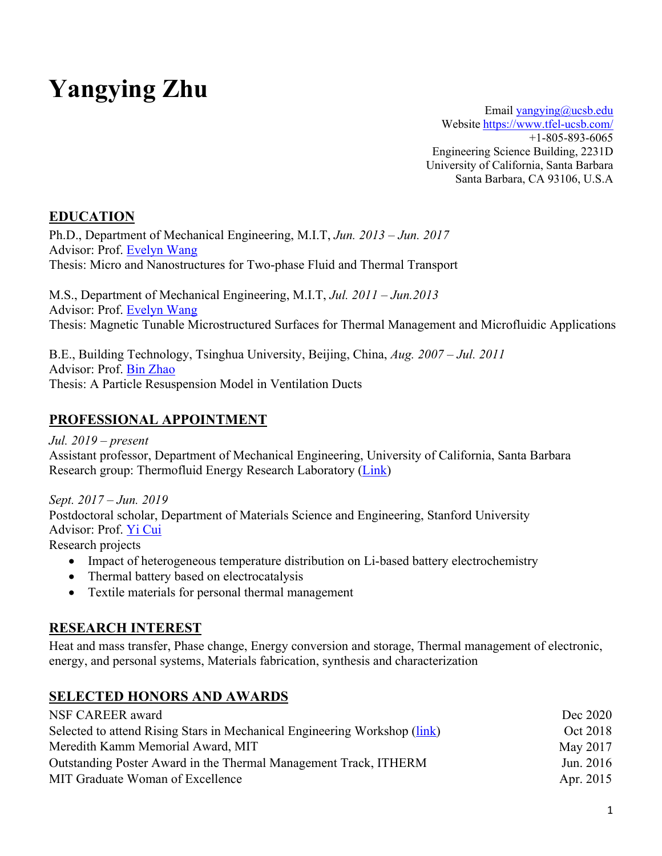# **Yangying Zhu**

Email yangying@ucsb.edu Website https://www.tfel-ucsb.com/ +1-805-893-6065 Engineering Science Building, 2231D University of California, Santa Barbara Santa Barbara, CA 93106, U.S.A

#### **EDUCATION**

Ph.D., Department of Mechanical Engineering, M.I.T, *Jun. 2013 – Jun. 2017*  Advisor: Prof. Evelyn Wang Thesis: Micro and Nanostructures for Two-phase Fluid and Thermal Transport

M.S., Department of Mechanical Engineering, M.I.T, *Jul. 2011 – Jun.2013* Advisor: Prof. Evelyn Wang Thesis: Magnetic Tunable Microstructured Surfaces for Thermal Management and Microfluidic Applications

B.E., Building Technology, Tsinghua University, Beijing, China, *Aug. 2007 – Jul. 2011* Advisor: Prof. Bin Zhao Thesis: A Particle Resuspension Model in Ventilation Ducts

#### **PROFESSIONAL APPOINTMENT**

*Jul. 2019 – present* Assistant professor, Department of Mechanical Engineering, University of California, Santa Barbara Research group: Thermofluid Energy Research Laboratory (Link)

*Sept. 2017 – Jun. 2019*  Postdoctoral scholar, Department of Materials Science and Engineering, Stanford University Advisor: Prof. Yi Cui Research projects

- - Impact of heterogeneous temperature distribution on Li-based battery electrochemistry
	- Thermal battery based on electrocatalysis
	- Textile materials for personal thermal management

#### **RESEARCH INTEREST**

Heat and mass transfer, Phase change, Energy conversion and storage, Thermal management of electronic, energy, and personal systems, Materials fabrication, synthesis and characterization

#### **SELECTED HONORS AND AWARDS**

| NSF CAREER award                                                          | Dec 2020  |
|---------------------------------------------------------------------------|-----------|
| Selected to attend Rising Stars in Mechanical Engineering Workshop (link) | Oct 2018  |
| Meredith Kamm Memorial Award, MIT                                         | May 2017  |
| Outstanding Poster Award in the Thermal Management Track, ITHERM          | Jun. 2016 |
| MIT Graduate Woman of Excellence                                          | Apr. 2015 |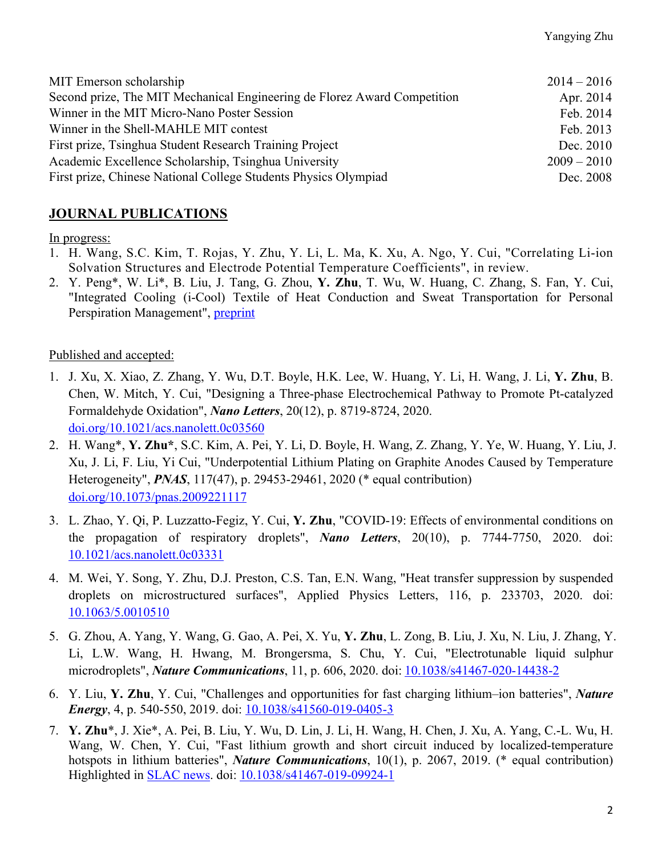| MIT Emerson scholarship                                                  | $2014 - 2016$ |
|--------------------------------------------------------------------------|---------------|
| Second prize, The MIT Mechanical Engineering de Florez Award Competition | Apr. 2014     |
| Winner in the MIT Micro-Nano Poster Session                              | Feb. 2014     |
| Winner in the Shell-MAHLE MIT contest                                    | Feb. 2013     |
| First prize, Tsinghua Student Research Training Project                  | Dec. 2010     |
| Academic Excellence Scholarship, Tsinghua University                     | $2009 - 2010$ |
| First prize, Chinese National College Students Physics Olympiad          | Dec. 2008     |

#### **JOURNAL PUBLICATIONS**

In progress:

- 1. H. Wang, S.C. Kim, T. Rojas, Y. Zhu, Y. Li, L. Ma, K. Xu, A. Ngo, Y. Cui, "Correlating Li-ion Solvation Structures and Electrode Potential Temperature Coefficients", in review.
- 2. Y. Peng\*, W. Li\*, B. Liu, J. Tang, G. Zhou, **Y. Zhu**, T. Wu, W. Huang, C. Zhang, S. Fan, Y. Cui, "Integrated Cooling (i-Cool) Textile of Heat Conduction and Sweat Transportation for Personal Perspiration Management", preprint

#### Published and accepted:

- 1. J. Xu, X. Xiao, Z. Zhang, Y. Wu, D.T. Boyle, H.K. Lee, W. Huang, Y. Li, H. Wang, J. Li, **Y. Zhu**, B. Chen, W. Mitch, Y. Cui, "Designing a Three-phase Electrochemical Pathway to Promote Pt-catalyzed Formaldehyde Oxidation", *Nano Letters*, 20(12), p. 8719-8724, 2020. doi.org/10.1021/acs.nanolett.0c03560
- 2. H. Wang\*, **Y. Zhu\***, S.C. Kim, A. Pei, Y. Li, D. Boyle, H. Wang, Z. Zhang, Y. Ye, W. Huang, Y. Liu, J. Xu, J. Li, F. Liu, Yi Cui, "Underpotential Lithium Plating on Graphite Anodes Caused by Temperature Heterogeneity", *PNAS*, 117(47), p. 29453-29461, 2020 (\* equal contribution) doi.org/10.1073/pnas.2009221117
- 3. L. Zhao, Y. Qi, P. Luzzatto-Fegiz, Y. Cui, **Y. Zhu**, "COVID-19: Effects of environmental conditions on the propagation of respiratory droplets", *Nano Letters*, 20(10), p. 7744-7750, 2020. doi: 10.1021/acs.nanolett.0c03331
- 4. M. Wei, Y. Song, Y. Zhu, D.J. Preston, C.S. Tan, E.N. Wang, "Heat transfer suppression by suspended droplets on microstructured surfaces", Applied Physics Letters, 116, p. 233703, 2020. doi: 10.1063/5.0010510
- 5. G. Zhou, A. Yang, Y. Wang, G. Gao, A. Pei, X. Yu, **Y. Zhu**, L. Zong, B. Liu, J. Xu, N. Liu, J. Zhang, Y. Li, L.W. Wang, H. Hwang, M. Brongersma, S. Chu, Y. Cui, "Electrotunable liquid sulphur microdroplets", *Nature Communications*, 11, p. 606, 2020. doi: 10.1038/s41467-020-14438-2
- 6. Y. Liu, **Y. Zhu**, Y. Cui, "Challenges and opportunities for fast charging lithium–ion batteries", *Nature Energy*, 4, p. 540-550, 2019. doi: 10.1038/s41560-019-0405-3
- 7. **Y. Zhu**\*, J. Xie\*, A. Pei, B. Liu, Y. Wu, D. Lin, J. Li, H. Wang, H. Chen, J. Xu, A. Yang, C.-L. Wu, H. Wang, W. Chen, Y. Cui, "Fast lithium growth and short circuit induced by localized-temperature hotspots in lithium batteries", *Nature Communications*, 10(1), p. 2067, 2019. (\* equal contribution) Highlighted in SLAC news. doi: 10.1038/s41467-019-09924-1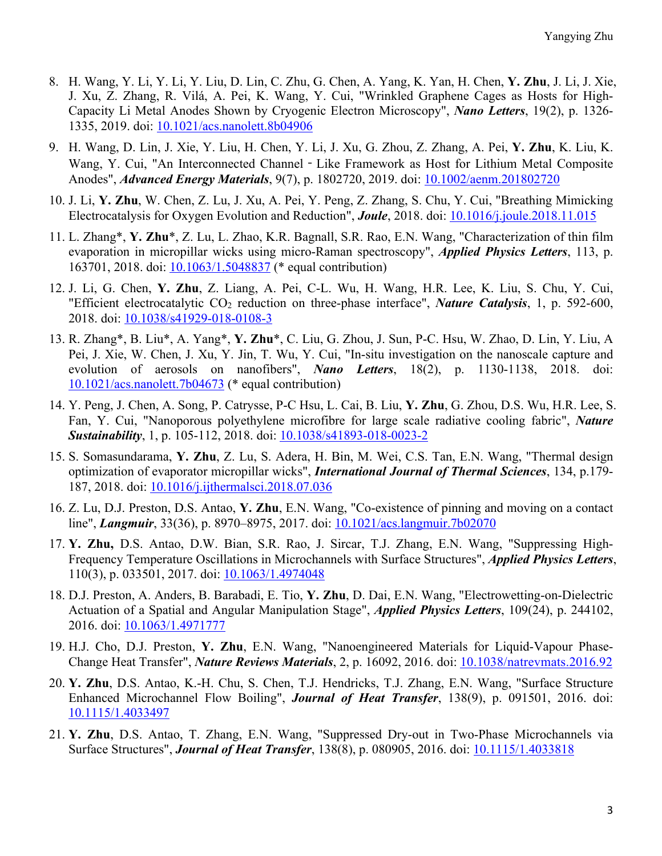- 8. H. Wang, Y. Li, Y. Li, Y. Liu, D. Lin, C. Zhu, G. Chen, A. Yang, K. Yan, H. Chen, **Y. Zhu**, J. Li, J. Xie, J. Xu, Z. Zhang, R. Vilá, A. Pei, K. Wang, Y. Cui, "Wrinkled Graphene Cages as Hosts for High-Capacity Li Metal Anodes Shown by Cryogenic Electron Microscopy", *Nano Letters*, 19(2), p. 1326- 1335, 2019. doi: 10.1021/acs.nanolett.8b04906
- 9. H. Wang, D. Lin, J. Xie, Y. Liu, H. Chen, Y. Li, J. Xu, G. Zhou, Z. Zhang, A. Pei, **Y. Zhu**, K. Liu, K. Wang, Y. Cui, "An Interconnected Channel - Like Framework as Host for Lithium Metal Composite Anodes", *Advanced Energy Materials*, 9(7), p. 1802720, 2019. doi: 10.1002/aenm.201802720
- 10. J. Li, **Y. Zhu**, W. Chen, Z. Lu, J. Xu, A. Pei, Y. Peng, Z. Zhang, S. Chu, Y. Cui, "Breathing Mimicking Electrocatalysis for Oxygen Evolution and Reduction", *Joule*, 2018. doi: 10.1016/j.joule.2018.11.015
- 11. L. Zhang\*, **Y. Zhu**\*, Z. Lu, L. Zhao, K.R. Bagnall, S.R. Rao, E.N. Wang, "Characterization of thin film evaporation in micropillar wicks using micro-Raman spectroscopy", *Applied Physics Letters*, 113, p. 163701, 2018. doi: 10.1063/1.5048837 (\* equal contribution)
- 12. J. Li, G. Chen, **Y. Zhu**, Z. Liang, A. Pei, C-L. Wu, H. Wang, H.R. Lee, K. Liu, S. Chu, Y. Cui, "Efficient electrocatalytic CO2 reduction on three-phase interface", *Nature Catalysis*, 1, p. 592-600, 2018. doi: 10.1038/s41929-018-0108-3
- 13. R. Zhang\*, B. Liu\*, A. Yang\*, **Y. Zhu**\*, C. Liu, G. Zhou, J. Sun, P-C. Hsu, W. Zhao, D. Lin, Y. Liu, A Pei, J. Xie, W. Chen, J. Xu, Y. Jin, T. Wu, Y. Cui, "In-situ investigation on the nanoscale capture and evolution of aerosols on nanofibers", *Nano Letters*, 18(2), p. 1130-1138, 2018. doi: 10.1021/acs.nanolett.7b04673 (\* equal contribution)
- 14. Y. Peng, J. Chen, A. Song, P. Catrysse, P-C Hsu, L. Cai, B. Liu, **Y. Zhu**, G. Zhou, D.S. Wu, H.R. Lee, S. Fan, Y. Cui, "Nanoporous polyethylene microfibre for large scale radiative cooling fabric", *Nature Sustainability*, 1, p. 105-112, 2018. doi: 10.1038/s41893-018-0023-2
- 15. S. Somasundarama, **Y. Zhu**, Z. Lu, S. Adera, H. Bin, M. Wei, C.S. Tan, E.N. Wang, "Thermal design optimization of evaporator micropillar wicks", *International Journal of Thermal Sciences*, 134, p.179- 187, 2018. doi: 10.1016/j.ijthermalsci.2018.07.036
- 16. Z. Lu, D.J. Preston, D.S. Antao, **Y. Zhu**, E.N. Wang, "Co-existence of pinning and moving on a contact line", *Langmuir*, 33(36), p. 8970–8975, 2017. doi: 10.1021/acs.langmuir.7b02070
- 17. **Y. Zhu,** D.S. Antao, D.W. Bian, S.R. Rao, J. Sircar, T.J. Zhang, E.N. Wang, "Suppressing High-Frequency Temperature Oscillations in Microchannels with Surface Structures", *Applied Physics Letters*, 110(3), p. 033501, 2017. doi: 10.1063/1.4974048
- 18. D.J. Preston, A. Anders, B. Barabadi, E. Tio, **Y. Zhu**, D. Dai, E.N. Wang, "Electrowetting-on-Dielectric Actuation of a Spatial and Angular Manipulation Stage", *Applied Physics Letters*, 109(24), p. 244102, 2016. doi: 10.1063/1.4971777
- 19. H.J. Cho, D.J. Preston, **Y. Zhu**, E.N. Wang, "Nanoengineered Materials for Liquid-Vapour Phase-Change Heat Transfer", *Nature Reviews Materials*, 2, p. 16092, 2016. doi: 10.1038/natrevmats.2016.92
- 20. **Y. Zhu**, D.S. Antao, K.-H. Chu, S. Chen, T.J. Hendricks, T.J. Zhang, E.N. Wang, "Surface Structure Enhanced Microchannel Flow Boiling", *Journal of Heat Transfer*, 138(9), p. 091501, 2016. doi: 10.1115/1.4033497
- 21. **Y. Zhu**, D.S. Antao, T. Zhang, E.N. Wang, "Suppressed Dry-out in Two-Phase Microchannels via Surface Structures", *Journal of Heat Transfer*, 138(8), p. 080905, 2016. doi: 10.1115/1.4033818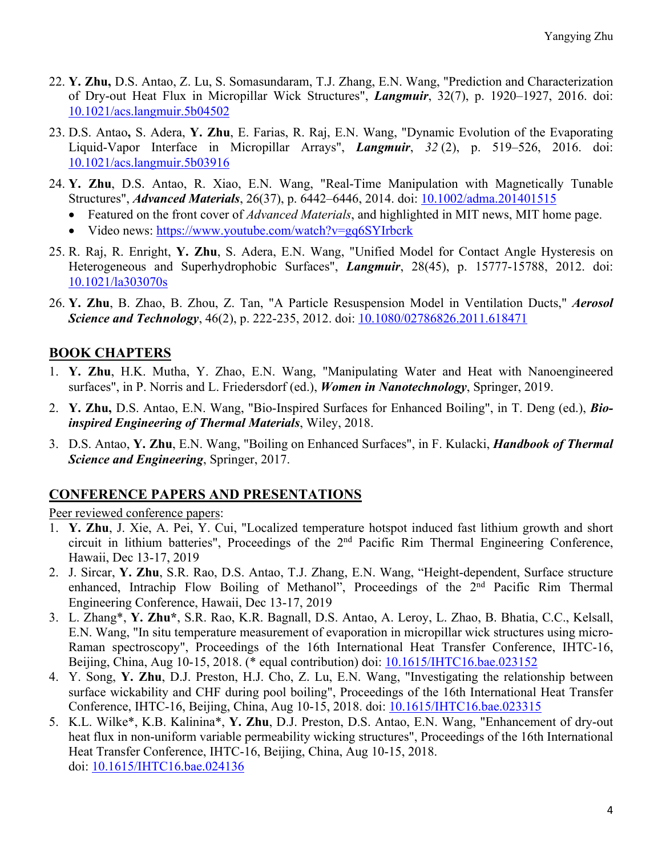- 22. **Y. Zhu,** D.S. Antao, Z. Lu, S. Somasundaram, T.J. Zhang, E.N. Wang, "Prediction and Characterization of Dry-out Heat Flux in Micropillar Wick Structures", *Langmuir*, 32(7), p. 1920–1927, 2016. doi: 10.1021/acs.langmuir.5b04502
- 23. D.S. Antao**,** S. Adera, **Y. Zhu**, E. Farias, R. Raj, E.N. Wang, "Dynamic Evolution of the Evaporating Liquid-Vapor Interface in Micropillar Arrays", *Langmuir*, *32* (2), p. 519–526, 2016. doi: 10.1021/acs.langmuir.5b03916
- 24. **Y. Zhu**, D.S. Antao, R. Xiao, E.N. Wang, "Real-Time Manipulation with Magnetically Tunable Structures", *Advanced Materials*, 26(37), p. 6442–6446, 2014. doi: 10.1002/adma.201401515
	- Featured on the front cover of *Advanced Materials*, and highlighted in MIT news, MIT home page.
	- Video news: https://www.youtube.com/watch?v=gq6SYIrbcrk
- 25. R. Raj, R. Enright, **Y. Zhu**, S. Adera, E.N. Wang, "Unified Model for Contact Angle Hysteresis on Heterogeneous and Superhydrophobic Surfaces", *Langmuir*, 28(45), p. 15777-15788, 2012. doi: 10.1021/la303070s
- 26. **Y. Zhu**, B. Zhao, B. Zhou, Z. Tan, "A Particle Resuspension Model in Ventilation Ducts," *Aerosol Science and Technology*, 46(2), p. 222-235, 2012. doi: 10.1080/02786826.2011.618471

### **BOOK CHAPTERS**

- 1. **Y. Zhu**, H.K. Mutha, Y. Zhao, E.N. Wang, "Manipulating Water and Heat with Nanoengineered surfaces", in P. Norris and L. Friedersdorf (ed.), *Women in Nanotechnology*, Springer, 2019.
- 2. **Y. Zhu,** D.S. Antao, E.N. Wang, "Bio-Inspired Surfaces for Enhanced Boiling", in T. Deng (ed.), *Bioinspired Engineering of Thermal Materials*, Wiley, 2018.
- 3. D.S. Antao, **Y. Zhu**, E.N. Wang, "Boiling on Enhanced Surfaces", in F. Kulacki, *Handbook of Thermal Science and Engineering*, Springer, 2017.

#### **CONFERENCE PAPERS AND PRESENTATIONS**

Peer reviewed conference papers:

- 1. **Y. Zhu**, J. Xie, A. Pei, Y. Cui, "Localized temperature hotspot induced fast lithium growth and short circuit in lithium batteries", Proceedings of the 2nd Pacific Rim Thermal Engineering Conference, Hawaii, Dec 13-17, 2019
- 2. J. Sircar, **Y. Zhu**, S.R. Rao, D.S. Antao, T.J. Zhang, E.N. Wang, "Height-dependent, Surface structure enhanced, Intrachip Flow Boiling of Methanol", Proceedings of the 2<sup>nd</sup> Pacific Rim Thermal Engineering Conference, Hawaii, Dec 13-17, 2019
- 3. L. Zhang\*, **Y. Zhu\***, S.R. Rao, K.R. Bagnall, D.S. Antao, A. Leroy, L. Zhao, B. Bhatia, C.C., Kelsall, E.N. Wang, "In situ temperature measurement of evaporation in micropillar wick structures using micro-Raman spectroscopy", Proceedings of the 16th International Heat Transfer Conference, IHTC-16, Beijing, China, Aug 10-15, 2018. (\* equal contribution) doi: 10.1615/IHTC16.bae.023152
- 4. Y. Song, **Y. Zhu**, D.J. Preston, H.J. Cho, Z. Lu, E.N. Wang, "Investigating the relationship between surface wickability and CHF during pool boiling", Proceedings of the 16th International Heat Transfer Conference, IHTC-16, Beijing, China, Aug 10-15, 2018. doi: 10.1615/IHTC16.bae.023315
- 5. K.L. Wilke\*, K.B. Kalinina\*, **Y. Zhu**, D.J. Preston, D.S. Antao, E.N. Wang, "Enhancement of dry-out heat flux in non-uniform variable permeability wicking structures", Proceedings of the 16th International Heat Transfer Conference, IHTC-16, Beijing, China, Aug 10-15, 2018. doi: 10.1615/IHTC16.bae.024136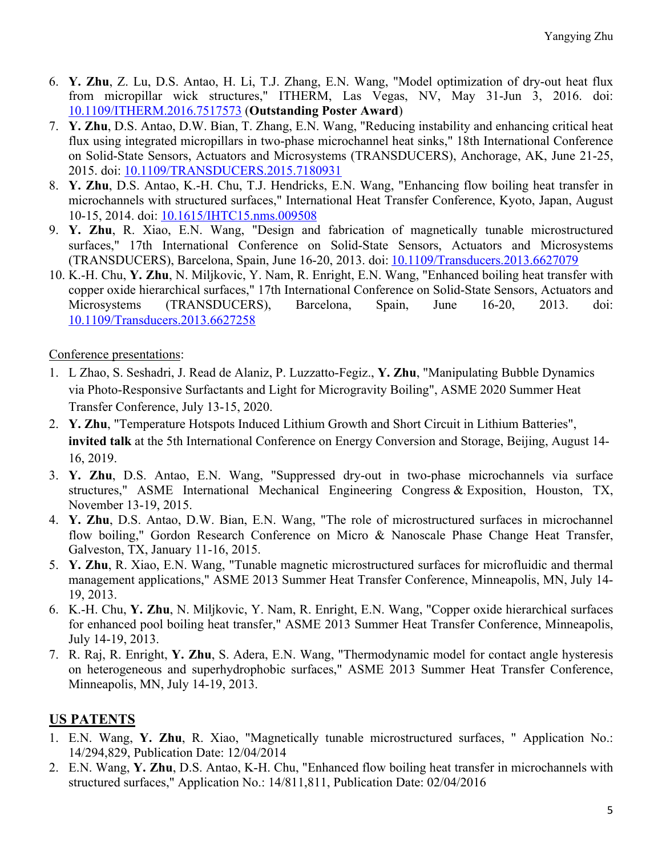- 6. **Y. Zhu**, Z. Lu, D.S. Antao, H. Li, T.J. Zhang, E.N. Wang, "Model optimization of dry-out heat flux from micropillar wick structures," ITHERM, Las Vegas, NV, May 31-Jun 3, 2016. doi: 10.1109/ITHERM.2016.7517573 (**Outstanding Poster Award**)
- 7. **Y. Zhu**, D.S. Antao, D.W. Bian, T. Zhang, E.N. Wang, "Reducing instability and enhancing critical heat flux using integrated micropillars in two-phase microchannel heat sinks," 18th International Conference on Solid-State Sensors, Actuators and Microsystems (TRANSDUCERS), Anchorage, AK, June 21-25, 2015. doi: 10.1109/TRANSDUCERS.2015.7180931
- 8. **Y. Zhu**, D.S. Antao, K.-H. Chu, T.J. Hendricks, E.N. Wang, "Enhancing flow boiling heat transfer in microchannels with structured surfaces," International Heat Transfer Conference, Kyoto, Japan, August 10-15, 2014. doi: 10.1615/IHTC15.nms.009508
- 9. **Y. Zhu**, R. Xiao, E.N. Wang, "Design and fabrication of magnetically tunable microstructured surfaces," 17th International Conference on Solid-State Sensors, Actuators and Microsystems (TRANSDUCERS), Barcelona, Spain, June 16-20, 2013. doi: 10.1109/Transducers.2013.6627079
- 10. K.-H. Chu, **Y. Zhu**, N. Miljkovic, Y. Nam, R. Enright, E.N. Wang, "Enhanced boiling heat transfer with copper oxide hierarchical surfaces," 17th International Conference on Solid-State Sensors, Actuators and Microsystems (TRANSDUCERS), Barcelona, Spain, June 16-20, 2013. doi: 10.1109/Transducers.2013.6627258

Conference presentations:

- 1. L Zhao, S. Seshadri, J. Read de Alaniz, P. Luzzatto-Fegiz., **Y. Zhu**, "Manipulating Bubble Dynamics via Photo-Responsive Surfactants and Light for Microgravity Boiling", ASME 2020 Summer Heat Transfer Conference, July 13-15, 2020.
- 2. **Y. Zhu**, "Temperature Hotspots Induced Lithium Growth and Short Circuit in Lithium Batteries", **invited talk** at the 5th International Conference on Energy Conversion and Storage, Beijing, August 14- 16, 2019.
- 3. **Y. Zhu**, D.S. Antao, E.N. Wang, "Suppressed dry-out in two-phase microchannels via surface structures," ASME International Mechanical Engineering Congress & Exposition, Houston, TX, November 13-19, 2015.
- 4. **Y. Zhu**, D.S. Antao, D.W. Bian, E.N. Wang, "The role of microstructured surfaces in microchannel flow boiling," Gordon Research Conference on Micro & Nanoscale Phase Change Heat Transfer, Galveston, TX, January 11-16, 2015.
- 5. **Y. Zhu**, R. Xiao, E.N. Wang, "Tunable magnetic microstructured surfaces for microfluidic and thermal management applications," ASME 2013 Summer Heat Transfer Conference, Minneapolis, MN, July 14- 19, 2013.
- 6. K.-H. Chu, **Y. Zhu**, N. Miljkovic, Y. Nam, R. Enright, E.N. Wang, "Copper oxide hierarchical surfaces for enhanced pool boiling heat transfer," ASME 2013 Summer Heat Transfer Conference, Minneapolis, July 14-19, 2013.
- 7. R. Raj, R. Enright, **Y. Zhu**, S. Adera, E.N. Wang, "Thermodynamic model for contact angle hysteresis on heterogeneous and superhydrophobic surfaces," ASME 2013 Summer Heat Transfer Conference, Minneapolis, MN, July 14-19, 2013.

## **US PATENTS**

- 1. E.N. Wang, **Y. Zhu**, R. Xiao, "Magnetically tunable microstructured surfaces, " Application No.: 14/294,829, Publication Date: 12/04/2014
- 2. E.N. Wang, **Y. Zhu**, D.S. Antao, K-H. Chu, "Enhanced flow boiling heat transfer in microchannels with structured surfaces," Application No.: 14/811,811, Publication Date: 02/04/2016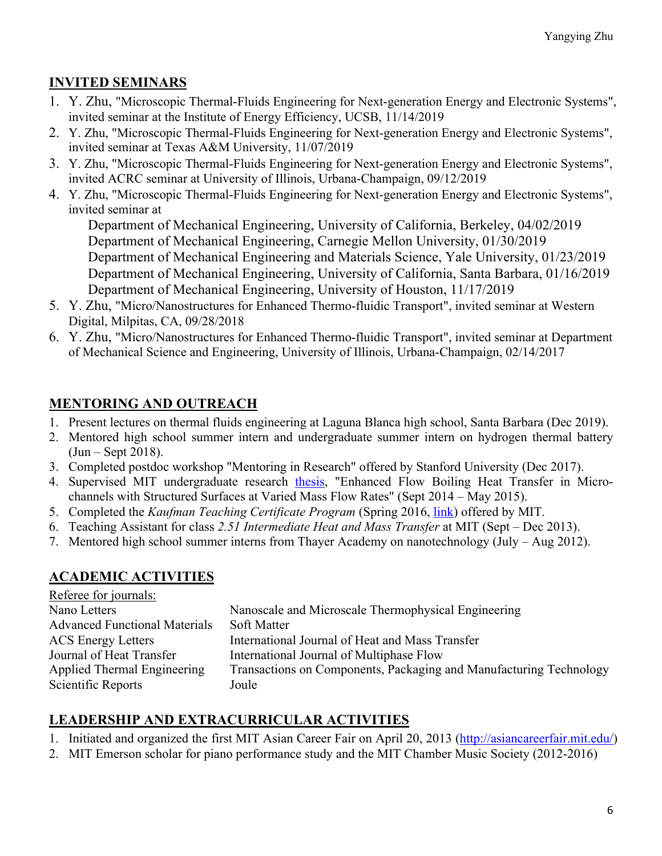## **INVITED SEMINARS**

- 1. Y. Zhu, "Microscopic Thermal-Fluids Engineering for Next-generation Energy and Electronic Systems", invited seminar at the Institute of Energy Efficiency, UCSB, 11/14/2019
- 2. Y. Zhu, "Microscopic Thermal-Fluids Engineering for Next-generation Energy and Electronic Systems", invited seminar at Texas A&M University, 11/07/2019
- 3. Y. Zhu, "Microscopic Thermal-Fluids Engineering for Next-generation Energy and Electronic Systems", invited ACRC seminar at University of Illinois, Urbana-Champaign, 09/12/2019
- 4. Y. Zhu, "Microscopic Thermal-Fluids Engineering for Next-generation Energy and Electronic Systems", invited seminar at

Department of Mechanical Engineering, University of California, Berkeley, 04/02/2019 Department of Mechanical Engineering, Carnegie Mellon University, 01/30/2019 Department of Mechanical Engineering and Materials Science, Yale University, 01/23/2019 Department of Mechanical Engineering, University of California, Santa Barbara, 01/16/2019 Department of Mechanical Engineering, University of Houston, 11/17/2019

- 5. Y. Zhu, "Micro/Nanostructures for Enhanced Thermo-fluidic Transport", invited seminar at Western Digital, Milpitas, CA, 09/28/2018
- 6. Y. Zhu, "Micro/Nanostructures for Enhanced Thermo-fluidic Transport", invited seminar at Department of Mechanical Science and Engineering, University of Illinois, Urbana-Champaign, 02/14/2017

## **MENTORING AND OUTREACH**

- 1. Present lectures on thermal fluids engineering at Laguna Blanca high school, Santa Barbara (Dec 2019).
- 2. Mentored high school summer intern and undergraduate summer intern on hydrogen thermal battery (Jun – Sept 2018).
- 3. Completed postdoc workshop "Mentoring in Research" offered by Stanford University (Dec 2017).
- 4. Supervised MIT undergraduate research thesis, "Enhanced Flow Boiling Heat Transfer in Microchannels with Structured Surfaces at Varied Mass Flow Rates" (Sept 2014 – May 2015).
- 5. Completed the *Kaufman Teaching Certificate Program* (Spring 2016, link) offered by MIT.
- 6. Teaching Assistant for class *2.51 Intermediate Heat and Mass Transfer* at MIT (Sept Dec 2013).
- 7. Mentored high school summer interns from Thayer Academy on nanotechnology (July Aug 2012).

## **ACADEMIC ACTIVITIES**

| Referee for journals:                |                                                                    |
|--------------------------------------|--------------------------------------------------------------------|
| Nano Letters                         | Nanoscale and Microscale Thermophysical Engineering                |
| <b>Advanced Functional Materials</b> | Soft Matter                                                        |
| <b>ACS</b> Energy Letters            | International Journal of Heat and Mass Transfer                    |
| Journal of Heat Transfer             | International Journal of Multiphase Flow                           |
| Applied Thermal Engineering          | Transactions on Components, Packaging and Manufacturing Technology |
| Scientific Reports                   | Joule                                                              |

## **LEADERSHIP AND EXTRACURRICULAR ACTIVITIES**

1. Initiated and organized the first MIT Asian Career Fair on April 20, 2013 (http://asiancareerfair.mit.edu/)

2. MIT Emerson scholar for piano performance study and the MIT Chamber Music Society (2012-2016)